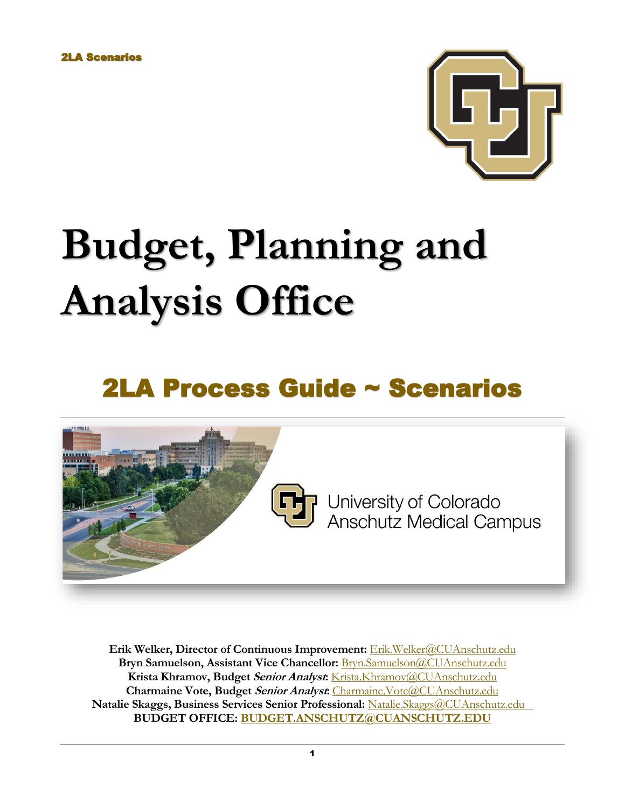

# **Budget, Planning and Analysis Office**

## 2LA Process Guide ~ Scenarios



**Erik Welker, Director of Continuous Improvement:** [Erik.Welker@CUAnschutz.edu](mailto:Erik.Welker@CUAnschutz.edu) **Bryn Samuelson, Assistant Vice Chancellor:** [Bryn.Samuelson@CUAnschutz.edu](mailto:Bryn.Samuelson@CUAnschutz.edu) **Krista Khramov, Budget Senior Analyst:** [Krista.Khramov@CUAnschutz.edu](mailto:Krista.Khramov@CUAnschutz.edu) **Charmaine Vote, Budget Senior Analyst:** [Charmaine.Vote@CUAnschutz.edu](mailto:Charmaine.Vote@CUAnschutz.edu) **Natalie Skaggs, Business Services Senior Professional:** [Natalie.Skaggs@CUAnschutz.edu](mailto:Natalie.Skaggs@CUAnschutz.edu) **BUDGET OFFICE: [BUDGET.ANSCHUTZ@CUANSCHUTZ.EDU](mailto:BUDGET.ANSCHUTZ@CUANSCHUTZ.EDU)**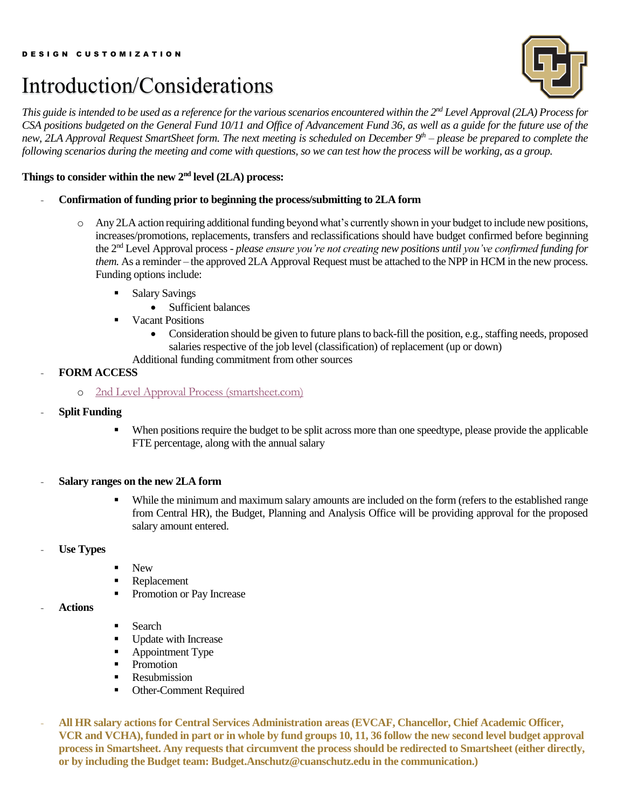### Introduction/Considerations



*This guide is intended to be used as a reference for the various scenarios encountered within the 2<sup>nd</sup> Level Approval (2LA) Process for CSA positions budgeted on the General Fund 10/11 and Office of Advancement Fund 36, as well as a guide for the future use of the new, 2LA Approval Request SmartSheet form. The next meeting is scheduled on December 9 th – please be prepared to complete the following scenarios during the meeting and come with questions, so we can test how the process will be working, as a group.* 

#### Things to consider within the new 2<sup>nd</sup> level (2LA) process:

- **Confirmation of funding prior to beginning the process/submitting to 2LA form**
	- o Any 2LA action requiring additional funding beyond what's currently shown in your budget to include new positions, increases/promotions, replacements, transfers and reclassifications should have budget confirmed before beginning the 2nd Level Approval process - *please ensure you're not creating new positions until you've confirmed funding for them.* As a reminder – the approved 2LA Approval Request must be attached to the NPP in HCM in the new process. Funding options include:
		- **Salary Savings** 
			- Sufficient balances
		- Vacant Positions
			- Consideration should be given to future plans to back-fill the position, e.g., staffing needs, proposed salaries respective of the job level (classification) of replacement (up or down)
			- Additional funding commitment from other sources

#### - **FORM ACCESS**

- o [2nd Level Approval Process \(smartsheet.com\)](https://app.smartsheet.com/b/form/8e053a7412d243e0b70854afd8e078a8)
- **Split Funding**
	- When positions require the budget to be split across more than one speedtype, please provide the applicable FTE percentage, along with the annual salary
- **Salary ranges on the new 2LA form**
	- While the minimum and maximum salary amounts are included on the form (refers to the established range from Central HR), the Budget, Planning and Analysis Office will be providing approval for the proposed salary amount entered.
- Use Types
- New
- Replacement
- Promotion or Pay Increase
- **Actions**
- Search
- Update with Increase
- Appointment Type
- Promotion
- **Resubmission**
- Other-Comment Required
- **All HR salary actions for Central Services Administration areas (EVCAF, Chancellor, Chief Academic Officer, VCR and VCHA), funded in part or in whole by fund groups 10, 11, 36 follow the new second level budget approval process in Smartsheet. Any requests that circumvent the process should be redirected to Smartsheet (either directly, or by including the Budget team: [Budget.Anschutz@cuanschutz.edu](mailto:Budget.Anschutz@cuanschutz.edu) in the communication.)**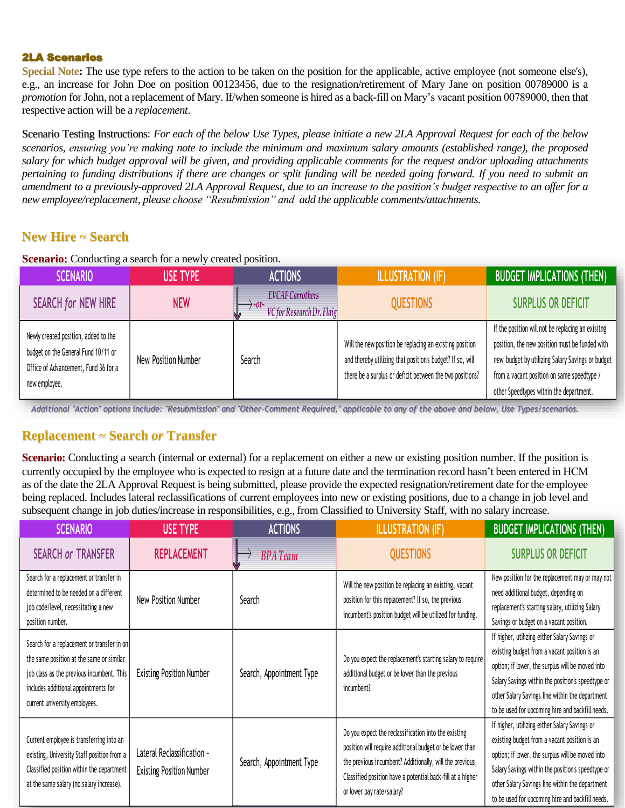#### 2LA Scenarios

**Special Note:** The use type refers to the action to be taken on the position for the applicable, active employee (not someone else's), e.g., an increase for John Doe on position 00123456, due to the resignation/retirement of Mary Jane on position 00789000 is a *promotion* for John, not a replacement of Mary. If/when someone is hired as a back-fill on Mary's vacant position 00789000, then that respective action will be a *replacement*.

Scenario Testing Instructions: *For each of the below Use Types, please initiate a new 2LA Approval Request for each of the below scenarios, ensuring you're making note to include the minimum and maximum salary amounts (established range), the proposed salary for which budget approval will be given, and providing applicable comments for the request and/or uploading attachments pertaining to funding distributions if there are changes or split funding will be needed going forward. If you need to submit an amendment to a previously-approved 2LA Approval Request, due to an increase to the position's budget respective to an offer for a new employee/replacement, please choose "Resubmission" and add the applicable comments/attachments.*

#### **New Hire ~ Search**

**Scenario:** Conducting a search for a newly created position.

| <b>SCENARIO</b>                                                                                                                      | USE TYPE            | <b>ACTIONS</b>                                              | <b>ILLUSTRATION (IF)</b>                                                                                                                                                         | <b>BUDGET IMPLICATIONS (THEN)</b>                                                                                                                                                                                                                |
|--------------------------------------------------------------------------------------------------------------------------------------|---------------------|-------------------------------------------------------------|----------------------------------------------------------------------------------------------------------------------------------------------------------------------------------|--------------------------------------------------------------------------------------------------------------------------------------------------------------------------------------------------------------------------------------------------|
| <b>SEARCH for NEW HIRE</b>                                                                                                           | <b>NEW</b>          | <b>EVCAF Carrothers</b><br><b>VC</b> for Research Dr. Flaig | <b>QUESTIONS</b>                                                                                                                                                                 | SURPLUS OR DEFICIT                                                                                                                                                                                                                               |
| Newly created position, added to the<br>budget on the General Fund 10/11 or<br>Office of Advancement, Fund 36 for a<br>new employee. | New Position Number | Search                                                      | Will the new position be replacing an existing position<br>and thereby utilizing that position's budget? If so, will<br>there be a surplus or deficit between the two positions? | If the position will not be replacing an exisitng<br>position, the new position must be funded with<br>new budget by utilizing Salary Savings or budget<br>from a vacant position on same speedtype /<br>other Speedtypes within the department. |

Additional "Action" options include: "Resubmission" and "Other-Comment Required," applicable to any of the above and below, Use Types/scenarios.

#### **Replacement ~ Search** *or* **Transfer**

**Scenario:** Conducting a search (internal or external) for a replacement on either a new or existing position number. If the position is currently occupied by the employee who is expected to resign at a future date and the termination record hasn't been entered in HCM as of the date the 2LA Approval Request is being submitted, please provide the expected resignation/retirement date for the employee being replaced. Includes lateral reclassifications of current employees into new or existing positions, due to a change in job level and subsequent change in job duties/increase in responsibilities, e.g., from Classified to University Staff, with no salary increase.

| <b>SCENARIO</b>                                                                                                                                                                                              | <b>USE TYPE</b>                                               | <b>ACTIONS</b>           | <b>ILLUSTRATION (IF)</b>                                                                                                                                                                                                                                                | <b>BUDGET IMPLICATIONS (THEN)</b>                                                                                                                                                                                                                                                                             |
|--------------------------------------------------------------------------------------------------------------------------------------------------------------------------------------------------------------|---------------------------------------------------------------|--------------------------|-------------------------------------------------------------------------------------------------------------------------------------------------------------------------------------------------------------------------------------------------------------------------|---------------------------------------------------------------------------------------------------------------------------------------------------------------------------------------------------------------------------------------------------------------------------------------------------------------|
| <b>SEARCH or TRANSFER</b>                                                                                                                                                                                    | <b>REPLACEMENT</b>                                            | <b>BPATeam</b>           | <b>QUESTIONS</b>                                                                                                                                                                                                                                                        | <b>SURPLUS OR DEFICIT</b>                                                                                                                                                                                                                                                                                     |
| Search for a replacement or transfer in<br>determined to be needed on a different<br>job code/level, necessitating a new<br>position number.                                                                 | New Position Number                                           | Search                   | Will the new position be replacing an existing, vacant<br>position for this replacement? If so, the previous<br>incumbent's position budget will be utilized for funding.                                                                                               | New position for the replacement may or may not<br>need additional budget, depending on<br>replacement's starting salary, utilizing Salary<br>Savings or budget on a vacant position.                                                                                                                         |
| Search for a replacement or transfer in on<br>the same position at the same or similar<br>job class as the previous incumbent. This<br>includes additional appointments for<br>current university employees. | <b>Existing Position Number</b>                               | Search, Appointment Type | Do you expect the replacement's starting salary to require<br>additional budget or be lower than the previous<br>incumbent?                                                                                                                                             | If higher, utilizing either Salary Savings or<br>existing budget from a vacant position is an<br>option; if lower, the surplus will be moved into<br>Salary Savings within the position's speedtype or<br>other Salary Savings line within the department<br>to be used for upcoming hire and backfill needs. |
| Current employee is transferring into an<br>existing, University Staff position from a<br>Classified position within the department<br>at the same salary (no salary increase).                              | Lateral Reclassification ~<br><b>Existing Position Number</b> | Search, Appointment Type | Do you expect the reclassification into the existing<br>position will require additional budget or be lower than<br>the previous incumbent? Additionally, will the previous,<br>Classified position have a potential back-fill at a higher<br>or lower pay rate/salary? | If higher, utilizing either Salary Savings or<br>existing budget from a vacant position is an<br>option; if lower, the surplus will be moved into<br>Salary Savings within the position's speedtype or<br>other Salary Savings line within the department<br>to be used for upcoming hire and backfill needs. |